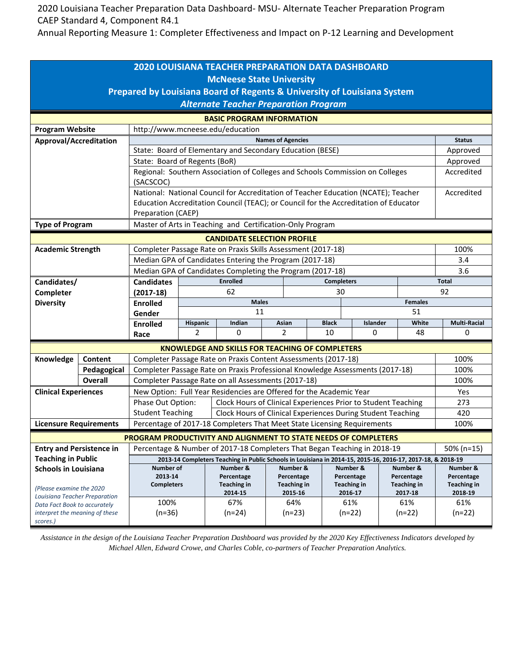2020 Louisiana Teacher Preparation Data Dashboard- MSU- Alternate Teacher Preparation Program CAEP Standard 4, Component R4.1

Annual Reporting Measure 1: Completer Effectiveness and Impact on P-12 Learning and Development

| Prepared by Louisiana Board of Regents & University of Louisiana System<br><b>Alternate Teacher Preparation Program</b><br><b>BASIC PROGRAM INFORMATION</b><br>http://www.mcneese.edu/education<br><b>Program Website</b><br><b>Names of Agencies</b><br>Approval/Accreditation<br><b>Status</b><br>State: Board of Elementary and Secondary Education (BESE)<br>Approved<br>State: Board of Regents (BoR)<br>Approved<br>Regional: Southern Association of Colleges and Schools Commission on Colleges<br>Accredited<br>(SACSCOC)<br>National: National Council for Accreditation of Teacher Education (NCATE); Teacher<br>Accredited<br>Education Accreditation Council (TEAC); or Council for the Accreditation of Educator<br>Preparation (CAEP)<br>Master of Arts in Teaching and Certification-Only Program<br><b>Type of Program</b><br><b>CANDIDATE SELECTION PROFILE</b><br>Completer Passage Rate on Praxis Skills Assessment (2017-18)<br>100%<br><b>Academic Strength</b><br>Median GPA of Candidates Entering the Program (2017-18)<br>3.4<br>Median GPA of Candidates Completing the Program (2017-18)<br>3.6<br><b>Enrolled</b><br><b>Candidates</b><br><b>Completers</b><br><b>Total</b><br>Candidates/<br>62<br>92<br>Completer<br>30<br>$(2017-18)$<br><b>Diversity</b><br><b>Males</b><br><b>Females</b><br><b>Enrolled</b><br>11<br>51<br>Gender<br>White<br><b>Multi-Racial</b><br>Hispanic<br>Indian<br>Asian<br><b>Black</b><br>Islander<br><b>Enrolled</b><br>2<br>0<br>2<br>10<br>0<br>48<br>0<br>Race<br><b>KNOWLEDGE AND SKILLS FOR TEACHING OF COMPLETERS</b><br>Knowledge<br>Content<br>Completer Passage Rate on Praxis Content Assessments (2017-18)<br>100%<br>Completer Passage Rate on Praxis Professional Knowledge Assessments (2017-18)<br>Pedagogical<br>100%<br><b>Overall</b><br>Completer Passage Rate on all Assessments (2017-18)<br>100%<br>New Option: Full Year Residencies are Offered for the Academic Year<br><b>Clinical Experiences</b><br>Yes<br>Phase Out Option:<br>Clock Hours of Clinical Experiences Prior to Student Teaching<br>273 | <b>2020 LOUISIANA TEACHER PREPARATION DATA DASHBOARD</b> |  |                                                                                        |  |  |                                  |  |  |  |             |  |  |
|------------------------------------------------------------------------------------------------------------------------------------------------------------------------------------------------------------------------------------------------------------------------------------------------------------------------------------------------------------------------------------------------------------------------------------------------------------------------------------------------------------------------------------------------------------------------------------------------------------------------------------------------------------------------------------------------------------------------------------------------------------------------------------------------------------------------------------------------------------------------------------------------------------------------------------------------------------------------------------------------------------------------------------------------------------------------------------------------------------------------------------------------------------------------------------------------------------------------------------------------------------------------------------------------------------------------------------------------------------------------------------------------------------------------------------------------------------------------------------------------------------------------------------------------------------------------------------------------------------------------------------------------------------------------------------------------------------------------------------------------------------------------------------------------------------------------------------------------------------------------------------------------------------------------------------------------------------------------------------------------------------------------------------------------------------------------------------------------|----------------------------------------------------------|--|----------------------------------------------------------------------------------------|--|--|----------------------------------|--|--|--|-------------|--|--|
|                                                                                                                                                                                                                                                                                                                                                                                                                                                                                                                                                                                                                                                                                                                                                                                                                                                                                                                                                                                                                                                                                                                                                                                                                                                                                                                                                                                                                                                                                                                                                                                                                                                                                                                                                                                                                                                                                                                                                                                                                                                                                                | <b>McNeese State University</b>                          |  |                                                                                        |  |  |                                  |  |  |  |             |  |  |
|                                                                                                                                                                                                                                                                                                                                                                                                                                                                                                                                                                                                                                                                                                                                                                                                                                                                                                                                                                                                                                                                                                                                                                                                                                                                                                                                                                                                                                                                                                                                                                                                                                                                                                                                                                                                                                                                                                                                                                                                                                                                                                |                                                          |  |                                                                                        |  |  |                                  |  |  |  |             |  |  |
|                                                                                                                                                                                                                                                                                                                                                                                                                                                                                                                                                                                                                                                                                                                                                                                                                                                                                                                                                                                                                                                                                                                                                                                                                                                                                                                                                                                                                                                                                                                                                                                                                                                                                                                                                                                                                                                                                                                                                                                                                                                                                                |                                                          |  |                                                                                        |  |  |                                  |  |  |  |             |  |  |
|                                                                                                                                                                                                                                                                                                                                                                                                                                                                                                                                                                                                                                                                                                                                                                                                                                                                                                                                                                                                                                                                                                                                                                                                                                                                                                                                                                                                                                                                                                                                                                                                                                                                                                                                                                                                                                                                                                                                                                                                                                                                                                |                                                          |  |                                                                                        |  |  |                                  |  |  |  |             |  |  |
|                                                                                                                                                                                                                                                                                                                                                                                                                                                                                                                                                                                                                                                                                                                                                                                                                                                                                                                                                                                                                                                                                                                                                                                                                                                                                                                                                                                                                                                                                                                                                                                                                                                                                                                                                                                                                                                                                                                                                                                                                                                                                                |                                                          |  |                                                                                        |  |  |                                  |  |  |  |             |  |  |
|                                                                                                                                                                                                                                                                                                                                                                                                                                                                                                                                                                                                                                                                                                                                                                                                                                                                                                                                                                                                                                                                                                                                                                                                                                                                                                                                                                                                                                                                                                                                                                                                                                                                                                                                                                                                                                                                                                                                                                                                                                                                                                |                                                          |  |                                                                                        |  |  |                                  |  |  |  |             |  |  |
|                                                                                                                                                                                                                                                                                                                                                                                                                                                                                                                                                                                                                                                                                                                                                                                                                                                                                                                                                                                                                                                                                                                                                                                                                                                                                                                                                                                                                                                                                                                                                                                                                                                                                                                                                                                                                                                                                                                                                                                                                                                                                                |                                                          |  |                                                                                        |  |  |                                  |  |  |  |             |  |  |
|                                                                                                                                                                                                                                                                                                                                                                                                                                                                                                                                                                                                                                                                                                                                                                                                                                                                                                                                                                                                                                                                                                                                                                                                                                                                                                                                                                                                                                                                                                                                                                                                                                                                                                                                                                                                                                                                                                                                                                                                                                                                                                |                                                          |  |                                                                                        |  |  |                                  |  |  |  |             |  |  |
|                                                                                                                                                                                                                                                                                                                                                                                                                                                                                                                                                                                                                                                                                                                                                                                                                                                                                                                                                                                                                                                                                                                                                                                                                                                                                                                                                                                                                                                                                                                                                                                                                                                                                                                                                                                                                                                                                                                                                                                                                                                                                                |                                                          |  |                                                                                        |  |  |                                  |  |  |  |             |  |  |
|                                                                                                                                                                                                                                                                                                                                                                                                                                                                                                                                                                                                                                                                                                                                                                                                                                                                                                                                                                                                                                                                                                                                                                                                                                                                                                                                                                                                                                                                                                                                                                                                                                                                                                                                                                                                                                                                                                                                                                                                                                                                                                |                                                          |  |                                                                                        |  |  |                                  |  |  |  |             |  |  |
|                                                                                                                                                                                                                                                                                                                                                                                                                                                                                                                                                                                                                                                                                                                                                                                                                                                                                                                                                                                                                                                                                                                                                                                                                                                                                                                                                                                                                                                                                                                                                                                                                                                                                                                                                                                                                                                                                                                                                                                                                                                                                                |                                                          |  |                                                                                        |  |  |                                  |  |  |  |             |  |  |
|                                                                                                                                                                                                                                                                                                                                                                                                                                                                                                                                                                                                                                                                                                                                                                                                                                                                                                                                                                                                                                                                                                                                                                                                                                                                                                                                                                                                                                                                                                                                                                                                                                                                                                                                                                                                                                                                                                                                                                                                                                                                                                |                                                          |  |                                                                                        |  |  |                                  |  |  |  |             |  |  |
|                                                                                                                                                                                                                                                                                                                                                                                                                                                                                                                                                                                                                                                                                                                                                                                                                                                                                                                                                                                                                                                                                                                                                                                                                                                                                                                                                                                                                                                                                                                                                                                                                                                                                                                                                                                                                                                                                                                                                                                                                                                                                                |                                                          |  |                                                                                        |  |  |                                  |  |  |  |             |  |  |
|                                                                                                                                                                                                                                                                                                                                                                                                                                                                                                                                                                                                                                                                                                                                                                                                                                                                                                                                                                                                                                                                                                                                                                                                                                                                                                                                                                                                                                                                                                                                                                                                                                                                                                                                                                                                                                                                                                                                                                                                                                                                                                |                                                          |  |                                                                                        |  |  |                                  |  |  |  |             |  |  |
|                                                                                                                                                                                                                                                                                                                                                                                                                                                                                                                                                                                                                                                                                                                                                                                                                                                                                                                                                                                                                                                                                                                                                                                                                                                                                                                                                                                                                                                                                                                                                                                                                                                                                                                                                                                                                                                                                                                                                                                                                                                                                                |                                                          |  |                                                                                        |  |  |                                  |  |  |  |             |  |  |
|                                                                                                                                                                                                                                                                                                                                                                                                                                                                                                                                                                                                                                                                                                                                                                                                                                                                                                                                                                                                                                                                                                                                                                                                                                                                                                                                                                                                                                                                                                                                                                                                                                                                                                                                                                                                                                                                                                                                                                                                                                                                                                |                                                          |  |                                                                                        |  |  |                                  |  |  |  |             |  |  |
|                                                                                                                                                                                                                                                                                                                                                                                                                                                                                                                                                                                                                                                                                                                                                                                                                                                                                                                                                                                                                                                                                                                                                                                                                                                                                                                                                                                                                                                                                                                                                                                                                                                                                                                                                                                                                                                                                                                                                                                                                                                                                                |                                                          |  |                                                                                        |  |  |                                  |  |  |  |             |  |  |
|                                                                                                                                                                                                                                                                                                                                                                                                                                                                                                                                                                                                                                                                                                                                                                                                                                                                                                                                                                                                                                                                                                                                                                                                                                                                                                                                                                                                                                                                                                                                                                                                                                                                                                                                                                                                                                                                                                                                                                                                                                                                                                |                                                          |  |                                                                                        |  |  |                                  |  |  |  |             |  |  |
|                                                                                                                                                                                                                                                                                                                                                                                                                                                                                                                                                                                                                                                                                                                                                                                                                                                                                                                                                                                                                                                                                                                                                                                                                                                                                                                                                                                                                                                                                                                                                                                                                                                                                                                                                                                                                                                                                                                                                                                                                                                                                                |                                                          |  |                                                                                        |  |  |                                  |  |  |  |             |  |  |
|                                                                                                                                                                                                                                                                                                                                                                                                                                                                                                                                                                                                                                                                                                                                                                                                                                                                                                                                                                                                                                                                                                                                                                                                                                                                                                                                                                                                                                                                                                                                                                                                                                                                                                                                                                                                                                                                                                                                                                                                                                                                                                |                                                          |  |                                                                                        |  |  |                                  |  |  |  |             |  |  |
|                                                                                                                                                                                                                                                                                                                                                                                                                                                                                                                                                                                                                                                                                                                                                                                                                                                                                                                                                                                                                                                                                                                                                                                                                                                                                                                                                                                                                                                                                                                                                                                                                                                                                                                                                                                                                                                                                                                                                                                                                                                                                                |                                                          |  |                                                                                        |  |  |                                  |  |  |  |             |  |  |
|                                                                                                                                                                                                                                                                                                                                                                                                                                                                                                                                                                                                                                                                                                                                                                                                                                                                                                                                                                                                                                                                                                                                                                                                                                                                                                                                                                                                                                                                                                                                                                                                                                                                                                                                                                                                                                                                                                                                                                                                                                                                                                |                                                          |  |                                                                                        |  |  |                                  |  |  |  |             |  |  |
|                                                                                                                                                                                                                                                                                                                                                                                                                                                                                                                                                                                                                                                                                                                                                                                                                                                                                                                                                                                                                                                                                                                                                                                                                                                                                                                                                                                                                                                                                                                                                                                                                                                                                                                                                                                                                                                                                                                                                                                                                                                                                                |                                                          |  |                                                                                        |  |  |                                  |  |  |  |             |  |  |
|                                                                                                                                                                                                                                                                                                                                                                                                                                                                                                                                                                                                                                                                                                                                                                                                                                                                                                                                                                                                                                                                                                                                                                                                                                                                                                                                                                                                                                                                                                                                                                                                                                                                                                                                                                                                                                                                                                                                                                                                                                                                                                |                                                          |  |                                                                                        |  |  |                                  |  |  |  |             |  |  |
|                                                                                                                                                                                                                                                                                                                                                                                                                                                                                                                                                                                                                                                                                                                                                                                                                                                                                                                                                                                                                                                                                                                                                                                                                                                                                                                                                                                                                                                                                                                                                                                                                                                                                                                                                                                                                                                                                                                                                                                                                                                                                                |                                                          |  |                                                                                        |  |  |                                  |  |  |  |             |  |  |
|                                                                                                                                                                                                                                                                                                                                                                                                                                                                                                                                                                                                                                                                                                                                                                                                                                                                                                                                                                                                                                                                                                                                                                                                                                                                                                                                                                                                                                                                                                                                                                                                                                                                                                                                                                                                                                                                                                                                                                                                                                                                                                |                                                          |  |                                                                                        |  |  |                                  |  |  |  |             |  |  |
|                                                                                                                                                                                                                                                                                                                                                                                                                                                                                                                                                                                                                                                                                                                                                                                                                                                                                                                                                                                                                                                                                                                                                                                                                                                                                                                                                                                                                                                                                                                                                                                                                                                                                                                                                                                                                                                                                                                                                                                                                                                                                                |                                                          |  |                                                                                        |  |  |                                  |  |  |  |             |  |  |
|                                                                                                                                                                                                                                                                                                                                                                                                                                                                                                                                                                                                                                                                                                                                                                                                                                                                                                                                                                                                                                                                                                                                                                                                                                                                                                                                                                                                                                                                                                                                                                                                                                                                                                                                                                                                                                                                                                                                                                                                                                                                                                |                                                          |  | <b>Student Teaching</b><br>Clock Hours of Clinical Experiences During Student Teaching |  |  |                                  |  |  |  | 420         |  |  |
| Percentage of 2017-18 Completers That Meet State Licensing Requirements<br><b>Licensure Requirements</b><br>100%                                                                                                                                                                                                                                                                                                                                                                                                                                                                                                                                                                                                                                                                                                                                                                                                                                                                                                                                                                                                                                                                                                                                                                                                                                                                                                                                                                                                                                                                                                                                                                                                                                                                                                                                                                                                                                                                                                                                                                               |                                                          |  |                                                                                        |  |  |                                  |  |  |  |             |  |  |
| PROGRAM PRODUCTIVITY AND ALIGNMENT TO STATE NEEDS OF COMPLETERS                                                                                                                                                                                                                                                                                                                                                                                                                                                                                                                                                                                                                                                                                                                                                                                                                                                                                                                                                                                                                                                                                                                                                                                                                                                                                                                                                                                                                                                                                                                                                                                                                                                                                                                                                                                                                                                                                                                                                                                                                                |                                                          |  |                                                                                        |  |  |                                  |  |  |  |             |  |  |
| Percentage & Number of 2017-18 Completers That Began Teaching in 2018-19<br><b>Entry and Persistence in</b><br>50% (n=15)                                                                                                                                                                                                                                                                                                                                                                                                                                                                                                                                                                                                                                                                                                                                                                                                                                                                                                                                                                                                                                                                                                                                                                                                                                                                                                                                                                                                                                                                                                                                                                                                                                                                                                                                                                                                                                                                                                                                                                      |                                                          |  |                                                                                        |  |  |                                  |  |  |  |             |  |  |
| <b>Teaching in Public</b><br>2013-14 Completers Teaching in Public Schools in Louisiana in 2014-15, 2015-16, 2016-17, 2017-18, & 2018-19                                                                                                                                                                                                                                                                                                                                                                                                                                                                                                                                                                                                                                                                                                                                                                                                                                                                                                                                                                                                                                                                                                                                                                                                                                                                                                                                                                                                                                                                                                                                                                                                                                                                                                                                                                                                                                                                                                                                                       |                                                          |  |                                                                                        |  |  |                                  |  |  |  |             |  |  |
| Number of<br>Number &<br>Number &<br>Number &<br>Number &<br>Number &<br><b>Schools in Louisiana</b>                                                                                                                                                                                                                                                                                                                                                                                                                                                                                                                                                                                                                                                                                                                                                                                                                                                                                                                                                                                                                                                                                                                                                                                                                                                                                                                                                                                                                                                                                                                                                                                                                                                                                                                                                                                                                                                                                                                                                                                           |                                                          |  |                                                                                        |  |  |                                  |  |  |  |             |  |  |
| Percentage<br>Percentage<br>Percentage<br>Percentage<br><b>Teaching in</b><br><b>Teaching in</b><br><b>Teaching in</b>                                                                                                                                                                                                                                                                                                                                                                                                                                                                                                                                                                                                                                                                                                                                                                                                                                                                                                                                                                                                                                                                                                                                                                                                                                                                                                                                                                                                                                                                                                                                                                                                                                                                                                                                                                                                                                                                                                                                                                         |                                                          |  | 2013-14<br><b>Completers</b>                                                           |  |  | Percentage<br><b>Teaching in</b> |  |  |  | Teaching in |  |  |
| 2015-16<br>2016-17<br>2017-18<br>2018-19<br>2014-15<br>Louisiana Teacher Preparation                                                                                                                                                                                                                                                                                                                                                                                                                                                                                                                                                                                                                                                                                                                                                                                                                                                                                                                                                                                                                                                                                                                                                                                                                                                                                                                                                                                                                                                                                                                                                                                                                                                                                                                                                                                                                                                                                                                                                                                                           | (Please examine the 2020)                                |  |                                                                                        |  |  |                                  |  |  |  |             |  |  |
| 100%<br>67%<br>64%<br>61%<br>61%<br>61%<br>Data Fact Book to accurately                                                                                                                                                                                                                                                                                                                                                                                                                                                                                                                                                                                                                                                                                                                                                                                                                                                                                                                                                                                                                                                                                                                                                                                                                                                                                                                                                                                                                                                                                                                                                                                                                                                                                                                                                                                                                                                                                                                                                                                                                        |                                                          |  |                                                                                        |  |  |                                  |  |  |  |             |  |  |
| $(n=36)$<br>$(n=24)$<br>$(n=22)$<br>$(n=23)$<br>$(n=22)$<br>$(n=22)$<br>interpret the meaning of these<br>scores.)                                                                                                                                                                                                                                                                                                                                                                                                                                                                                                                                                                                                                                                                                                                                                                                                                                                                                                                                                                                                                                                                                                                                                                                                                                                                                                                                                                                                                                                                                                                                                                                                                                                                                                                                                                                                                                                                                                                                                                             |                                                          |  |                                                                                        |  |  |                                  |  |  |  |             |  |  |

*Assistance in the design of the Louisiana Teacher Preparation Dashboard was provided by the 2020 Key Effectiveness Indicators developed by Michael Allen, Edward Crowe, and Charles Coble, co-partners of Teacher Preparation Analytics.*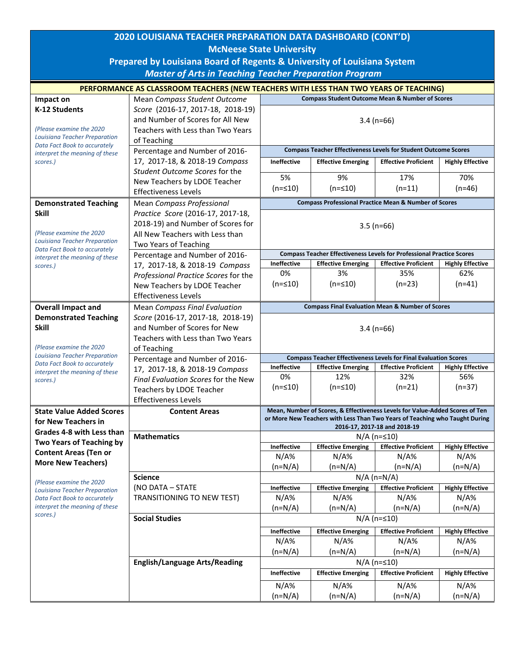| 2020 LOUISIANA TEACHER PREPARATION DATA DASHBOARD (CONT'D)           |                                                                                       |                                                                                                           |                                                                              |                                    |                                |  |  |  |
|----------------------------------------------------------------------|---------------------------------------------------------------------------------------|-----------------------------------------------------------------------------------------------------------|------------------------------------------------------------------------------|------------------------------------|--------------------------------|--|--|--|
|                                                                      | <b>McNeese State University</b>                                                       |                                                                                                           |                                                                              |                                    |                                |  |  |  |
|                                                                      | Prepared by Louisiana Board of Regents & University of Louisiana System               |                                                                                                           |                                                                              |                                    |                                |  |  |  |
| <b>Master of Arts in Teaching Teacher Preparation Program</b>        |                                                                                       |                                                                                                           |                                                                              |                                    |                                |  |  |  |
|                                                                      | PERFORMANCE AS CLASSROOM TEACHERS (NEW TEACHERS WITH LESS THAN TWO YEARS OF TEACHING) |                                                                                                           |                                                                              |                                    |                                |  |  |  |
| Impact on                                                            | Mean Compass Student Outcome                                                          | <b>Compass Student Outcome Mean &amp; Number of Scores</b>                                                |                                                                              |                                    |                                |  |  |  |
| K-12 Students                                                        | Score (2016-17, 2017-18, 2018-19)                                                     |                                                                                                           |                                                                              |                                    |                                |  |  |  |
|                                                                      | and Number of Scores for All New                                                      | $3.4(n=66)$                                                                                               |                                                                              |                                    |                                |  |  |  |
| (Please examine the 2020)<br>Louisiana Teacher Preparation           | Teachers with Less than Two Years<br>of Teaching                                      |                                                                                                           |                                                                              |                                    |                                |  |  |  |
| Data Fact Book to accurately                                         | Percentage and Number of 2016-                                                        | <b>Compass Teacher Effectiveness Levels for Student Outcome Scores</b>                                    |                                                                              |                                    |                                |  |  |  |
| interpret the meaning of these<br>scores.)                           | 17, 2017-18, & 2018-19 Compass                                                        | <b>Ineffective</b><br><b>Effective Proficient</b><br><b>Effective Emerging</b><br><b>Highly Effective</b> |                                                                              |                                    |                                |  |  |  |
|                                                                      | Student Outcome Scores for the                                                        |                                                                                                           |                                                                              |                                    |                                |  |  |  |
|                                                                      | New Teachers by LDOE Teacher                                                          | 5%                                                                                                        | 9%                                                                           | 17%                                | 70%                            |  |  |  |
|                                                                      | <b>Effectiveness Levels</b>                                                           | $(n = 10)$                                                                                                | $(n = 510)$                                                                  | $(n=11)$                           | $(n=46)$                       |  |  |  |
| <b>Demonstrated Teaching</b>                                         | Mean Compass Professional                                                             | <b>Compass Professional Practice Mean &amp; Number of Scores</b>                                          |                                                                              |                                    |                                |  |  |  |
| <b>Skill</b>                                                         | Practice Score (2016-17, 2017-18,<br>2018-19) and Number of Scores for                |                                                                                                           |                                                                              |                                    |                                |  |  |  |
| (Please examine the 2020)                                            | All New Teachers with Less than                                                       | $3.5$ (n=66)                                                                                              |                                                                              |                                    |                                |  |  |  |
| <b>Louisiana Teacher Preparation</b>                                 | Two Years of Teaching                                                                 |                                                                                                           |                                                                              |                                    |                                |  |  |  |
| Data Fact Book to accurately<br>interpret the meaning of these       | Percentage and Number of 2016-                                                        |                                                                                                           | <b>Compass Teacher Effectiveness Levels for Professional Practice Scores</b> |                                    |                                |  |  |  |
| scores.)                                                             | 17, 2017-18, & 2018-19 Compass                                                        | Ineffective                                                                                               | <b>Effective Emerging</b>                                                    | <b>Effective Proficient</b>        | <b>Highly Effective</b>        |  |  |  |
|                                                                      | Professional Practice Scores for the                                                  | 0%                                                                                                        | 3%                                                                           | 35%                                | 62%                            |  |  |  |
|                                                                      | New Teachers by LDOE Teacher                                                          | $(n = 10)$                                                                                                | $(n = 510)$                                                                  | $(n=23)$                           | $(n=41)$                       |  |  |  |
|                                                                      | <b>Effectiveness Levels</b>                                                           | <b>Compass Final Evaluation Mean &amp; Number of Scores</b>                                               |                                                                              |                                    |                                |  |  |  |
| <b>Overall Impact and</b><br><b>Demonstrated Teaching</b>            | Mean Compass Final Evaluation<br>Score (2016-17, 2017-18, 2018-19)                    |                                                                                                           |                                                                              |                                    |                                |  |  |  |
| <b>Skill</b>                                                         | and Number of Scores for New                                                          | $3.4$ (n=66)                                                                                              |                                                                              |                                    |                                |  |  |  |
|                                                                      | Teachers with Less than Two Years                                                     |                                                                                                           |                                                                              |                                    |                                |  |  |  |
| (Please examine the 2020                                             | of Teaching                                                                           |                                                                                                           |                                                                              |                                    |                                |  |  |  |
| <b>Louisiana Teacher Preparation</b><br>Data Fact Book to accurately | Percentage and Number of 2016-                                                        | <b>Compass Teacher Effectiveness Levels for Final Evaluation Scores</b>                                   |                                                                              |                                    |                                |  |  |  |
| interpret the meaning of these                                       | 17, 2017-18, & 2018-19 Compass                                                        | <b>Ineffective</b><br>0%                                                                                  | <b>Effective Emerging</b><br>12%                                             | <b>Effective Proficient</b><br>32% | <b>Highly Effective</b><br>56% |  |  |  |
| scores.)                                                             | Final Evaluation Scores for the New                                                   | $(n=≤10)$                                                                                                 | $(n=\leq 10)$                                                                | $(n=21)$                           | $(n=37)$                       |  |  |  |
|                                                                      | Teachers by LDOE Teacher<br><b>Effectiveness Levels</b>                               |                                                                                                           |                                                                              |                                    |                                |  |  |  |
| <b>State Value Added Scores</b>                                      | <b>Content Areas</b>                                                                  |                                                                                                           | Mean, Number of Scores, & Effectiveness Levels for Value-Added Scores of Ten |                                    |                                |  |  |  |
| for New Teachers in                                                  |                                                                                       | or More New Teachers with Less Than Two Years of Teaching who Taught During                               |                                                                              |                                    |                                |  |  |  |
| Grades 4-8 with Less than                                            | <b>Mathematics</b>                                                                    | 2016-17, 2017-18 and 2018-19<br>$N/A$ (n= $\leq 10$ )                                                     |                                                                              |                                    |                                |  |  |  |
| Two Years of Teaching by                                             |                                                                                       | <b>Ineffective</b>                                                                                        | <b>Effective Emerging</b>                                                    | <b>Effective Proficient</b>        | <b>Highly Effective</b>        |  |  |  |
| <b>Content Areas (Ten or</b>                                         |                                                                                       | $N/A\%$                                                                                                   | $N/A\%$                                                                      | $N/A\%$                            | $N/A\%$                        |  |  |  |
| <b>More New Teachers)</b>                                            |                                                                                       | $(n=N/A)$                                                                                                 | $(n=N/A)$                                                                    | $(n=N/A)$                          | $(n=N/A)$                      |  |  |  |
| (Please examine the 2020                                             | <b>Science</b>                                                                        | $N/A$ (n=N/A)                                                                                             |                                                                              |                                    |                                |  |  |  |
| <b>Louisiana Teacher Preparation</b>                                 | (NO DATA - STATE                                                                      | Ineffective                                                                                               | <b>Effective Emerging</b>                                                    | <b>Effective Proficient</b>        | <b>Highly Effective</b>        |  |  |  |
| Data Fact Book to accurately<br>interpret the meaning of these       | <b>TRANSITIONING TO NEW TEST)</b>                                                     | $N/A\%$                                                                                                   | $N/A\%$                                                                      | $N/A\%$                            | $N/A\%$                        |  |  |  |
| scores.)                                                             | <b>Social Studies</b>                                                                 | $(n=N/A)$<br>$(n=N/A)$<br>$(n=N/A)$<br>$(n=N/A)$<br>$N/A$ (n= $\leq 10$ )                                 |                                                                              |                                    |                                |  |  |  |
|                                                                      |                                                                                       | <b>Effective Proficient</b><br><b>Effective Emerging</b><br><b>Highly Effective</b><br><b>Ineffective</b> |                                                                              |                                    |                                |  |  |  |
|                                                                      |                                                                                       | $N/A\%$                                                                                                   | $N/A\%$                                                                      | $N/A\%$                            | $N/A\%$                        |  |  |  |
|                                                                      |                                                                                       | $(n=N/A)$                                                                                                 | $(n=N/A)$                                                                    | $(n=N/A)$                          | $(n=N/A)$                      |  |  |  |
|                                                                      | <b>English/Language Arts/Reading</b>                                                  | $N/A$ (n= $\leq 10$ )                                                                                     |                                                                              |                                    |                                |  |  |  |
|                                                                      |                                                                                       | <b>Ineffective</b>                                                                                        | <b>Effective Emerging</b>                                                    | <b>Effective Proficient</b>        | <b>Highly Effective</b>        |  |  |  |
|                                                                      |                                                                                       | $N/A\%$                                                                                                   | $N/A\%$                                                                      | $N/A\%$                            | $N/A\%$                        |  |  |  |
|                                                                      |                                                                                       | $(n=N/A)$                                                                                                 | $(n=N/A)$                                                                    | $(n=N/A)$                          | $(n=N/A)$                      |  |  |  |